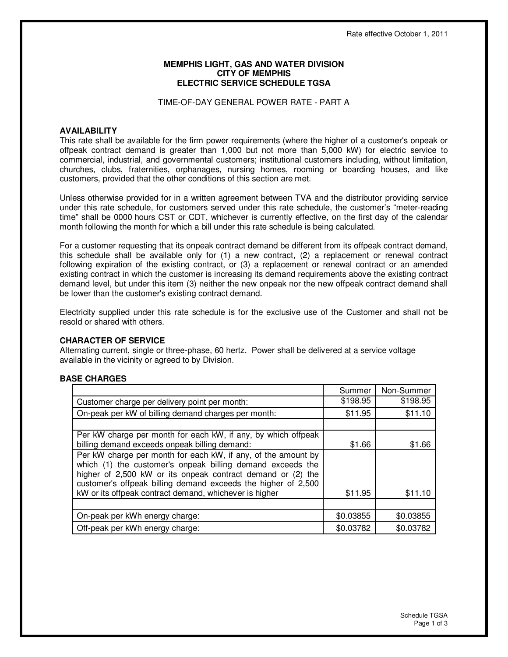# **MEMPHIS LIGHT, GAS AND WATER DIVISION CITY OF MEMPHIS ELECTRIC SERVICE SCHEDULE TGSA**

#### TIME-OF-DAY GENERAL POWER RATE - PART A

# **AVAILABILITY**

This rate shall be available for the firm power requirements (where the higher of a customer's onpeak or offpeak contract demand is greater than 1,000 but not more than 5,000 kW) for electric service to commercial, industrial, and governmental customers; institutional customers including, without limitation, churches, clubs, fraternities, orphanages, nursing homes, rooming or boarding houses, and like customers, provided that the other conditions of this section are met.

Unless otherwise provided for in a written agreement between TVA and the distributor providing service under this rate schedule, for customers served under this rate schedule, the customer's "meter-reading time" shall be 0000 hours CST or CDT, whichever is currently effective, on the first day of the calendar month following the month for which a bill under this rate schedule is being calculated.

For a customer requesting that its onpeak contract demand be different from its offpeak contract demand, this schedule shall be available only for (1) a new contract, (2) a replacement or renewal contract following expiration of the existing contract, or (3) a replacement or renewal contract or an amended existing contract in which the customer is increasing its demand requirements above the existing contract demand level, but under this item (3) neither the new onpeak nor the new offpeak contract demand shall be lower than the customer's existing contract demand.

Electricity supplied under this rate schedule is for the exclusive use of the Customer and shall not be resold or shared with others.

## **CHARACTER OF SERVICE**

Alternating current, single or three-phase, 60 hertz. Power shall be delivered at a service voltage available in the vicinity or agreed to by Division.

#### **BASE CHARGES**

|                                                                                                                                                                                                                                                             | Summer    | Non-Summer |
|-------------------------------------------------------------------------------------------------------------------------------------------------------------------------------------------------------------------------------------------------------------|-----------|------------|
| Customer charge per delivery point per month:                                                                                                                                                                                                               | \$198.95  | \$198.95   |
| On-peak per kW of billing demand charges per month:                                                                                                                                                                                                         | \$11.95   | \$11.10    |
|                                                                                                                                                                                                                                                             |           |            |
| Per kW charge per month for each kW, if any, by which offpeak<br>billing demand exceeds onpeak billing demand:                                                                                                                                              | \$1.66    | \$1.66     |
| Per kW charge per month for each kW, if any, of the amount by<br>which (1) the customer's onpeak billing demand exceeds the<br>higher of 2,500 kW or its onpeak contract demand or (2) the<br>customer's offpeak billing demand exceeds the higher of 2,500 |           |            |
| kW or its offpeak contract demand, whichever is higher                                                                                                                                                                                                      | \$11.95   | \$11.10    |
|                                                                                                                                                                                                                                                             |           |            |
| On-peak per kWh energy charge:                                                                                                                                                                                                                              | \$0.03855 | \$0.03855  |
| Off-peak per kWh energy charge:                                                                                                                                                                                                                             | \$0.03782 | \$0.03782  |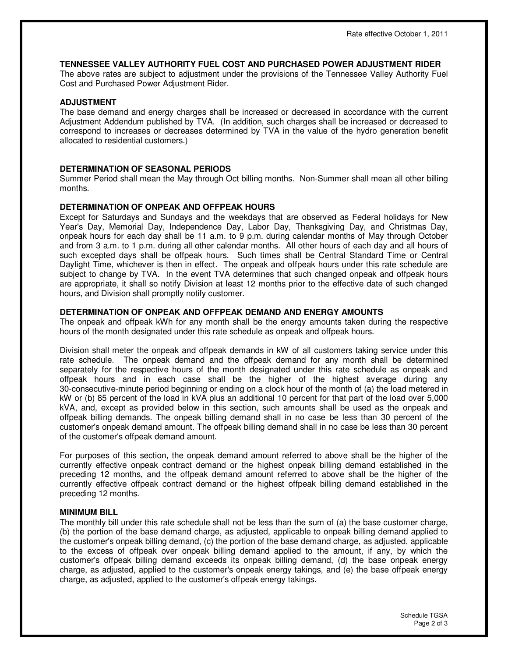# **TENNESSEE VALLEY AUTHORITY FUEL COST AND PURCHASED POWER ADJUSTMENT RIDER**

The above rates are subject to adjustment under the provisions of the Tennessee Valley Authority Fuel Cost and Purchased Power Adjustment Rider.

## **ADJUSTMENT**

The base demand and energy charges shall be increased or decreased in accordance with the current Adjustment Addendum published by TVA. (In addition, such charges shall be increased or decreased to correspond to increases or decreases determined by TVA in the value of the hydro generation benefit allocated to residential customers.)

# **DETERMINATION OF SEASONAL PERIODS**

Summer Period shall mean the May through Oct billing months. Non-Summer shall mean all other billing months.

# **DETERMINATION OF ONPEAK AND OFFPEAK HOURS**

Except for Saturdays and Sundays and the weekdays that are observed as Federal holidays for New Year's Day, Memorial Day, Independence Day, Labor Day, Thanksgiving Day, and Christmas Day, onpeak hours for each day shall be 11 a.m. to 9 p.m. during calendar months of May through October and from 3 a.m. to 1 p.m. during all other calendar months. All other hours of each day and all hours of such excepted days shall be offpeak hours. Such times shall be Central Standard Time or Central Daylight Time, whichever is then in effect. The onpeak and offpeak hours under this rate schedule are subject to change by TVA. In the event TVA determines that such changed onpeak and offpeak hours are appropriate, it shall so notify Division at least 12 months prior to the effective date of such changed hours, and Division shall promptly notify customer.

# **DETERMINATION OF ONPEAK AND OFFPEAK DEMAND AND ENERGY AMOUNTS**

The onpeak and offpeak kWh for any month shall be the energy amounts taken during the respective hours of the month designated under this rate schedule as onpeak and offpeak hours.

Division shall meter the onpeak and offpeak demands in kW of all customers taking service under this rate schedule. The onpeak demand and the offpeak demand for any month shall be determined separately for the respective hours of the month designated under this rate schedule as onpeak and offpeak hours and in each case shall be the higher of the highest average during any 30-consecutive-minute period beginning or ending on a clock hour of the month of (a) the load metered in kW or (b) 85 percent of the load in kVA plus an additional 10 percent for that part of the load over 5,000 kVA, and, except as provided below in this section, such amounts shall be used as the onpeak and offpeak billing demands. The onpeak billing demand shall in no case be less than 30 percent of the customer's onpeak demand amount. The offpeak billing demand shall in no case be less than 30 percent of the customer's offpeak demand amount.

For purposes of this section, the onpeak demand amount referred to above shall be the higher of the currently effective onpeak contract demand or the highest onpeak billing demand established in the preceding 12 months, and the offpeak demand amount referred to above shall be the higher of the currently effective offpeak contract demand or the highest offpeak billing demand established in the preceding 12 months.

#### **MINIMUM BILL**

The monthly bill under this rate schedule shall not be less than the sum of (a) the base customer charge, (b) the portion of the base demand charge, as adjusted, applicable to onpeak billing demand applied to the customer's onpeak billing demand, (c) the portion of the base demand charge, as adjusted, applicable to the excess of offpeak over onpeak billing demand applied to the amount, if any, by which the customer's offpeak billing demand exceeds its onpeak billing demand, (d) the base onpeak energy charge, as adjusted, applied to the customer's onpeak energy takings, and (e) the base offpeak energy charge, as adjusted, applied to the customer's offpeak energy takings.